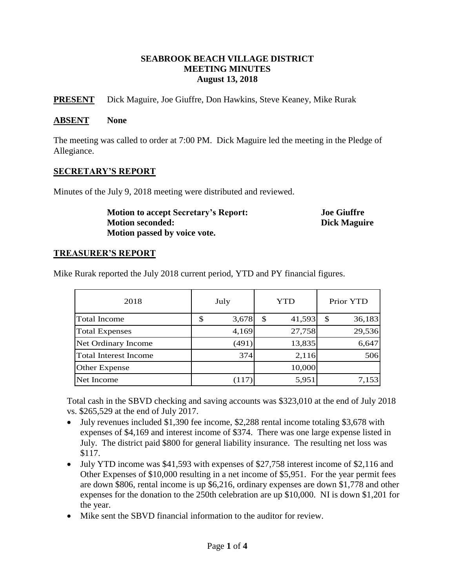### **SEABROOK BEACH VILLAGE DISTRICT MEETING MINUTES August 13, 2018**

**PRESENT** Dick Maguire, Joe Giuffre, Don Hawkins, Steve Keaney, Mike Rurak

#### **ABSENT None**

The meeting was called to order at 7:00 PM. Dick Maguire led the meeting in the Pledge of Allegiance.

### **SECRETARY'S REPORT**

Minutes of the July 9, 2018 meeting were distributed and reviewed.

**Motion to accept Secretary's Report: Joe Giuffre Motion seconded: Dick Maguire Motion passed by voice vote.**

## **TREASURER'S REPORT**

Mike Rurak reported the July 2018 current period, YTD and PY financial figures.

| 2018                  | July |       | YTD |        | Prior YTD |        |
|-----------------------|------|-------|-----|--------|-----------|--------|
| <b>Total Income</b>   | \$   | 3,678 | \$  | 41,593 | \$        | 36,183 |
| <b>Total Expenses</b> |      | 4,169 |     | 27,758 |           | 29,536 |
| Net Ordinary Income   |      | (491) |     | 13,835 |           | 6,647  |
| Total Interest Income |      | 374   |     | 2,116  |           | 506    |
| Other Expense         |      |       |     | 10,000 |           |        |
| Net Income            |      | (117) |     | 5,951  |           | 7,153  |

Total cash in the SBVD checking and saving accounts was \$323,010 at the end of July 2018 vs. \$265,529 at the end of July 2017.

- July revenues included \$1,390 fee income, \$2,288 rental income totaling \$3,678 with expenses of \$4,169 and interest income of \$374. There was one large expense listed in July. The district paid \$800 for general liability insurance. The resulting net loss was \$117.
- $\bullet$  July YTD income was \$41,593 with expenses of \$27,758 interest income of \$2,116 and Other Expenses of \$10,000 resulting in a net income of \$5,951. For the year permit fees are down \$806, rental income is up \$6,216, ordinary expenses are down \$1,778 and other expenses for the donation to the 250th celebration are up \$10,000. NI is down \$1,201 for the year.
- Mike sent the SBVD financial information to the auditor for review.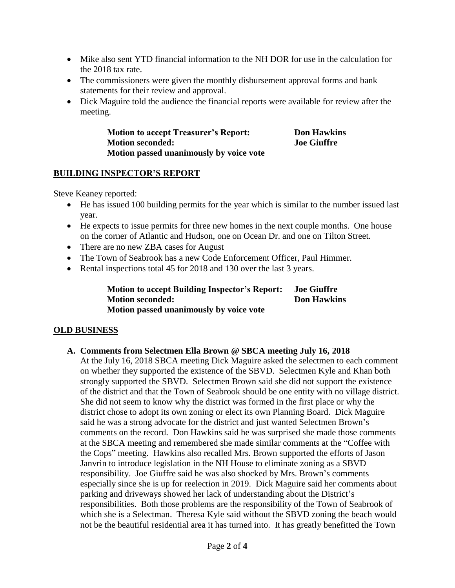- Mike also sent YTD financial information to the NH DOR for use in the calculation for the 2018 tax rate.
- The commissioners were given the monthly disbursement approval forms and bank statements for their review and approval.
- Dick Maguire told the audience the financial reports were available for review after the meeting.

**Motion to accept Treasurer's Report: Don Hawkins Motion seconded: Joe Giuffre Motion passed unanimously by voice vote**

## **BUILDING INSPECTOR'S REPORT**

Steve Keaney reported:

- He has issued 100 building permits for the year which is similar to the number issued last year.
- He expects to issue permits for three new homes in the next couple months. One house on the corner of Atlantic and Hudson, one on Ocean Dr. and one on Tilton Street.
- There are no new ZBA cases for August
- The Town of Seabrook has a new Code Enforcement Officer, Paul Himmer.
- Rental inspections total 45 for 2018 and 130 over the last 3 years.

**Motion to accept Building Inspector's Report: Joe Giuffre Motion seconded: Don Hawkins Motion passed unanimously by voice vote**

# **OLD BUSINESS**

## **A. Comments from Selectmen Ella Brown @ SBCA meeting July 16, 2018**

At the July 16, 2018 SBCA meeting Dick Maguire asked the selectmen to each comment on whether they supported the existence of the SBVD. Selectmen Kyle and Khan both strongly supported the SBVD. Selectmen Brown said she did not support the existence of the district and that the Town of Seabrook should be one entity with no village district. She did not seem to know why the district was formed in the first place or why the district chose to adopt its own zoning or elect its own Planning Board. Dick Maguire said he was a strong advocate for the district and just wanted Selectmen Brown's comments on the record. Don Hawkins said he was surprised she made those comments at the SBCA meeting and remembered she made similar comments at the "Coffee with the Cops" meeting. Hawkins also recalled Mrs. Brown supported the efforts of Jason Janvrin to introduce legislation in the NH House to eliminate zoning as a SBVD responsibility. Joe Giuffre said he was also shocked by Mrs. Brown's comments especially since she is up for reelection in 2019. Dick Maguire said her comments about parking and driveways showed her lack of understanding about the District's responsibilities. Both those problems are the responsibility of the Town of Seabrook of which she is a Selectman. Theresa Kyle said without the SBVD zoning the beach would not be the beautiful residential area it has turned into. It has greatly benefitted the Town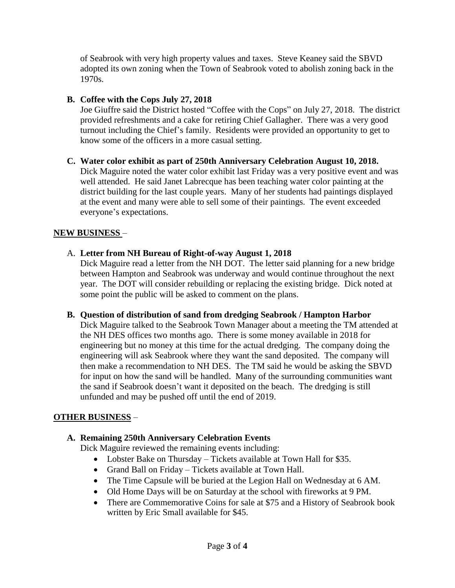of Seabrook with very high property values and taxes. Steve Keaney said the SBVD adopted its own zoning when the Town of Seabrook voted to abolish zoning back in the 1970s.

## **B. Coffee with the Cops July 27, 2018**

Joe Giuffre said the District hosted "Coffee with the Cops" on July 27, 2018. The district provided refreshments and a cake for retiring Chief Gallagher. There was a very good turnout including the Chief's family. Residents were provided an opportunity to get to know some of the officers in a more casual setting.

#### **C. Water color exhibit as part of 250th Anniversary Celebration August 10, 2018.** Dick Maguire noted the water color exhibit last Friday was a very positive event and was well attended. He said Janet Labrecque has been teaching water color painting at the district building for the last couple years. Many of her students had paintings displayed at the event and many were able to sell some of their paintings. The event exceeded everyone's expectations.

## **NEW BUSINESS** –

## A. **Letter from NH Bureau of Right-of-way August 1, 2018**

Dick Maguire read a letter from the NH DOT. The letter said planning for a new bridge between Hampton and Seabrook was underway and would continue throughout the next year. The DOT will consider rebuilding or replacing the existing bridge. Dick noted at some point the public will be asked to comment on the plans.

## **B. Question of distribution of sand from dredging Seabrook / Hampton Harbor**

Dick Maguire talked to the Seabrook Town Manager about a meeting the TM attended at the NH DES offices two months ago. There is some money available in 2018 for engineering but no money at this time for the actual dredging. The company doing the engineering will ask Seabrook where they want the sand deposited. The company will then make a recommendation to NH DES. The TM said he would be asking the SBVD for input on how the sand will be handled. Many of the surrounding communities want the sand if Seabrook doesn't want it deposited on the beach. The dredging is still unfunded and may be pushed off until the end of 2019.

# **OTHER BUSINESS** –

# **A. Remaining 250th Anniversary Celebration Events**

Dick Maguire reviewed the remaining events including:

- Lobster Bake on Thursday Tickets available at Town Hall for \$35.
- Grand Ball on Friday Tickets available at Town Hall.
- The Time Capsule will be buried at the Legion Hall on Wednesday at 6 AM.
- Old Home Days will be on Saturday at the school with fireworks at 9 PM.
- There are Commemorative Coins for sale at \$75 and a History of Seabrook book written by Eric Small available for \$45.